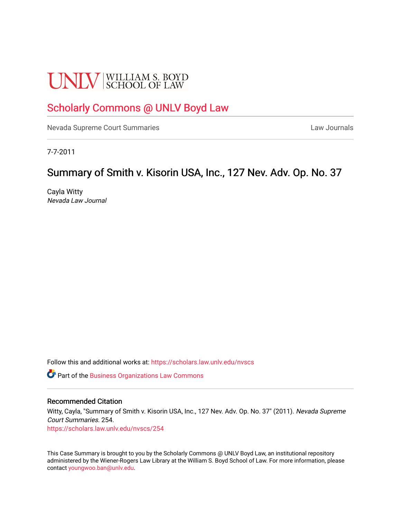# **UNLV** SCHOOL OF LAW

# [Scholarly Commons @ UNLV Boyd Law](https://scholars.law.unlv.edu/)

[Nevada Supreme Court Summaries](https://scholars.law.unlv.edu/nvscs) **Law Journals** Law Journals

7-7-2011

# Summary of Smith v. Kisorin USA, Inc., 127 Nev. Adv. Op. No. 37

Cayla Witty Nevada Law Journal

Follow this and additional works at: [https://scholars.law.unlv.edu/nvscs](https://scholars.law.unlv.edu/nvscs?utm_source=scholars.law.unlv.edu%2Fnvscs%2F254&utm_medium=PDF&utm_campaign=PDFCoverPages)

Part of the [Business Organizations Law Commons](http://network.bepress.com/hgg/discipline/900?utm_source=scholars.law.unlv.edu%2Fnvscs%2F254&utm_medium=PDF&utm_campaign=PDFCoverPages)

#### Recommended Citation

Witty, Cayla, "Summary of Smith v. Kisorin USA, Inc., 127 Nev. Adv. Op. No. 37" (2011). Nevada Supreme Court Summaries. 254. [https://scholars.law.unlv.edu/nvscs/254](https://scholars.law.unlv.edu/nvscs/254?utm_source=scholars.law.unlv.edu%2Fnvscs%2F254&utm_medium=PDF&utm_campaign=PDFCoverPages)

This Case Summary is brought to you by the Scholarly Commons @ UNLV Boyd Law, an institutional repository administered by the Wiener-Rogers Law Library at the William S. Boyd School of Law. For more information, please contact [youngwoo.ban@unlv.edu](mailto:youngwoo.ban@unlv.edu).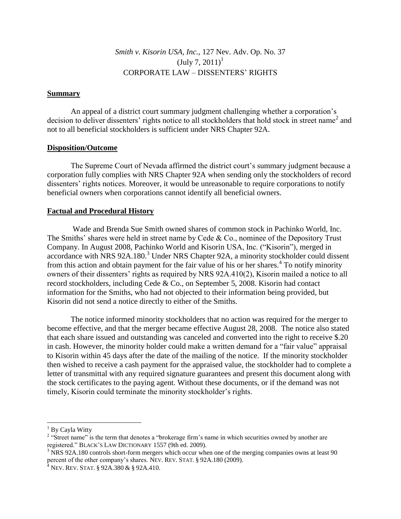## *Smith v. Kisorin USA, Inc.*, 127 Nev. Adv. Op. No. 37  $(July 7, 2011)<sup>1</sup>$ CORPORATE LAW – DISSENTERS' RIGHTS

#### **Summary**

An appeal of a district court summary judgment challenging whether a corporation's decision to deliver dissenters' rights notice to all stockholders that hold stock in street name<sup>2</sup> and not to all beneficial stockholders is sufficient under NRS Chapter 92A.

### **Disposition/Outcome**

The Supreme Court of Nevada affirmed the district court's summary judgment because a corporation fully complies with NRS Chapter 92A when sending only the stockholders of record dissenters' rights notices. Moreover, it would be unreasonable to require corporations to notify beneficial owners when corporations cannot identify all beneficial owners.

#### **Factual and Procedural History**

Wade and Brenda Sue Smith owned shares of common stock in Pachinko World, Inc. The Smiths' shares were held in street name by Cede & Co., nominee of the Depository Trust Company. In August 2008, Pachinko World and Kisorin USA, Inc. ("Kisorin"), merged in accordance with NRS  $92A.180<sup>3</sup>$  Under NRS Chapter 92A, a minority stockholder could dissent from this action and obtain payment for the fair value of his or her shares.<sup>4</sup> To notify minority owners of their dissenters' rights as required by NRS 92A.410(2), Kisorin mailed a notice to all record stockholders, including Cede & Co., on September 5, 2008. Kisorin had contact information for the Smiths, who had not objected to their information being provided, but Kisorin did not send a notice directly to either of the Smiths.

The notice informed minority stockholders that no action was required for the merger to become effective, and that the merger became effective August 28, 2008. The notice also stated that each share issued and outstanding was canceled and converted into the right to receive \$.20 in cash. However, the minority holder could make a written demand for a "fair value" appraisal to Kisorin within 45 days after the date of the mailing of the notice. If the minority stockholder then wished to receive a cash payment for the appraised value, the stockholder had to complete a letter of transmittal with any required signature guarantees and present this document along with the stock certificates to the paying agent. Without these documents, or if the demand was not timely, Kisorin could terminate the minority stockholder's rights.

l

<sup>&</sup>lt;sup>1</sup> By Cayla Witty

<sup>&</sup>lt;sup>2</sup> "Street name" is the term that denotes a "brokerage firm's name in which securities owned by another are registered." BLACK'S LAW DICTIONARY 1557 (9th ed. 2009).

 $3$  NRS 92A.180 controls short-form mergers which occur when one of the merging companies owns at least 90 percent of the other company's shares. NEV. REV. STAT. § 92A.180 (2009).

 $^4$  Nev. Rev. Stat. § 92A.380 & § 92A.410.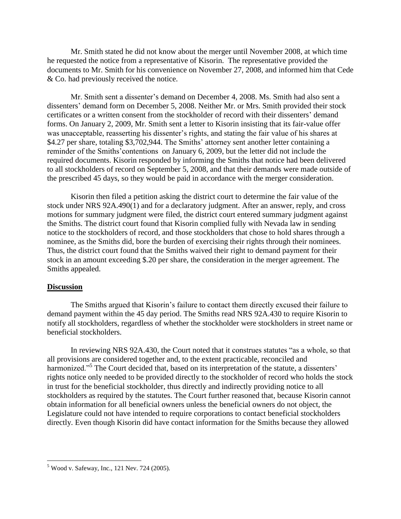Mr. Smith stated he did not know about the merger until November 2008, at which time he requested the notice from a representative of Kisorin. The representative provided the documents to Mr. Smith for his convenience on November 27, 2008, and informed him that Cede & Co. had previously received the notice.

Mr. Smith sent a dissenter's demand on December 4, 2008. Ms. Smith had also sent a dissenters' demand form on December 5, 2008. Neither Mr. or Mrs. Smith provided their stock certificates or a written consent from the stockholder of record with their dissenters' demand forms. On January 2, 2009, Mr. Smith sent a letter to Kisorin insisting that its fair-value offer was unacceptable, reasserting his dissenter's rights, and stating the fair value of his shares at \$4.27 per share, totaling \$3,702,944. The Smiths' attorney sent another letter containing a reminder of the Smiths'contentions on January 6, 2009, but the letter did not include the required documents. Kisorin responded by informing the Smiths that notice had been delivered to all stockholders of record on September 5, 2008, and that their demands were made outside of the prescribed 45 days, so they would be paid in accordance with the merger consideration.

Kisorin then filed a petition asking the district court to determine the fair value of the stock under NRS 92A.490(1) and for a declaratory judgment. After an answer, reply, and cross motions for summary judgment were filed, the district court entered summary judgment against the Smiths. The district court found that Kisorin complied fully with Nevada law in sending notice to the stockholders of record, and those stockholders that chose to hold shares through a nominee, as the Smiths did, bore the burden of exercising their rights through their nominees. Thus, the district court found that the Smiths waived their right to demand payment for their stock in an amount exceeding \$.20 per share, the consideration in the merger agreement. The Smiths appealed.

#### **Discussion**

 $\overline{\phantom{a}}$ 

The Smiths argued that Kisorin's failure to contact them directly excused their failure to demand payment within the 45 day period. The Smiths read NRS 92A.430 to require Kisorin to notify all stockholders, regardless of whether the stockholder were stockholders in street name or beneficial stockholders.

In reviewing NRS 92A.430, the Court noted that it construes statutes "as a whole, so that all provisions are considered together and, to the extent practicable, reconciled and harmonized."<sup>5</sup> The Court decided that, based on its interpretation of the statute, a dissenters' rights notice only needed to be provided directly to the stockholder of record who holds the stock in trust for the beneficial stockholder, thus directly and indirectly providing notice to all stockholders as required by the statutes. The Court further reasoned that, because Kisorin cannot obtain information for all beneficial owners unless the beneficial owners do not object, the Legislature could not have intended to require corporations to contact beneficial stockholders directly. Even though Kisorin did have contact information for the Smiths because they allowed

 $5$  Wood v. Safeway, Inc., 121 Nev. 724 (2005).